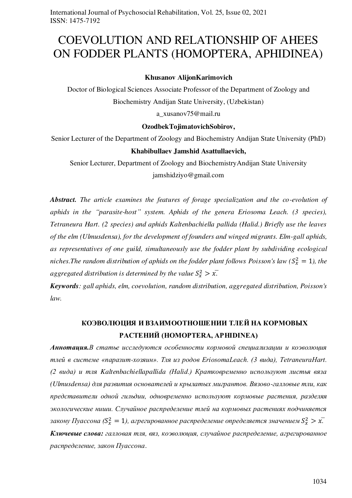# COEVOLUTION AND RELATIONSHIP OF AHEES ON FODDER PLANTS (HOMOPTERA, APHIDINEA)

### **Khusanov АlijonKarimovich**

Doctor of Biological Sciences Associate Professor of the Department of Zoology and Biochemistry Andijan State University, (Uzbekistan)

[a\\_xusanov75@mail.ru](mailto:a_xusanov75@mail.ru) 

### **OzodbekTojimatovichSobirov,**

Senior Lecturer of the Department of Zoology and Biochemistry Andijan State University (PhD)

#### **Khabibullaev Jamshid Asattullaevich,**

Senior Lecturer, Department of Zoology and BiochemistryAndijan State University jamshidziyo@gmail.com

*Abstract. The article examines the features of forage specialization and the co-evolution of aphids in the "parasite-host" system. Aphids of the genera Eriosoma Leach. (3 species), Tetraneura Hart. (2 species) and aphids Kaltenbachiella pallida (Halid.) Briefly use the leaves of the elm (Ulmusdensa), for the development of founders and winged migrants. Elm-gall aphids, as representatives of one guild, simultaneously use the fodder plant by subdividing ecological*  niches.The random distribution of aphids on the fodder plant follows Poisson's law  $(S_x^2 = 1)$ , the aggregated distribution is determined by the value  $S_x^2 > x$ .

*Keywords: gall aphids, elm, coevolution, random distribution, aggregated distribution, Poisson's law.* 

# **КОЭВОЛЮЦИЯ И ВЗАИМООТНОШЕНИИ ТЛЕЙ НА КОРМОВЫХ РАСТЕНИЙ (HOMOPTERA, APHIDINEA)**

*Аннотация.В статье исследуются особенности кормовой специализации и коэволюция тлей в системе «паразит-хозяин». Тля из родов EriosomaLeach. (3 вида), TetraneuraHart. (2 вида) и тля Kaltenbachiellapallida (Halid.) Кратковременно используют листья вяза (Ulmusdensa) для развития основателей и крылатых мигрантов. Вязово-галловые тли, как представители одной гильдии, одновременно используют кормовые растения, разделяя экологические ниши. Случайное распределение тлей на кормовых растениях подчиняется*  закону Пуассона ( $S_x^2 = 1$ ), агрегированное распределение определяется значением  $S_x^2 > x$ . *Ключевые слова: галловая тля, вяз, коэволюция, случайное распределение, агрегированное распределение, закон Пуассона*.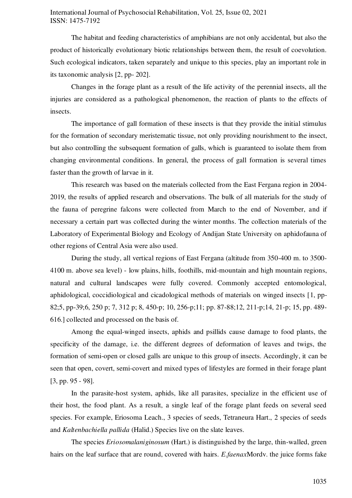The habitat and feeding characteristics of amphibians are not only accidental, but also the product of historically evolutionary biotic relationships between them, the result of coevolution. Such ecological indicators, taken separately and unique to this species, play an important role in its taxonomic analysis [2, pp- 202].

Changes in the forage plant as a result of the life activity of the perennial insects, all the injuries are considered as a pathological phenomenon, the reaction of plants to the effects of insects.

The importance of gall formation of these insects is that they provide the initial stimulus for the formation of secondary meristematic tissue, not only providing nourishment to the insect, but also controlling the subsequent formation of galls, which is guaranteed to isolate them from changing environmental conditions. In general, the process of gall formation is several times faster than the growth of larvae in it.

This research was based on the materials collected from the East Fergana region in 2004- 2019, the results of applied research and observations. The bulk of all materials for the study of the fauna of peregrine falcons were collected from March to the end of November, and if necessary a certain part was collected during the winter months. The collection materials of the Laboratory of Experimental Biology and Ecology of Andijan State University on aphidofauna of other regions of Central Asia were also used.

During the study, all vertical regions of East Fergana (altitude from 350-400 m. to 3500- 4100 m. above sea level) - low plains, hills, foothills, mid-mountain and high mountain regions, natural and cultural landscapes were fully covered. Commonly accepted entomological, aphidological, coccidiological and cicadological methods of materials on winged insects [1, pp-82;5, pp-39;6, 250 p; 7, 312 p; 8, 450-p; 10, 256-p;11; pp. 87-88;12, 211-p;14, 21-p; 15, pp. 489- 616.] collected and processed on the basis of.

Among the equal-winged insects, aphids and psillids cause damage to food plants, the specificity of the damage, i.e. the different degrees of deformation of leaves and twigs, the formation of semi-open or closed galls are unique to this group of insects. Accordingly, it can be seen that open, covert, semi-covert and mixed types of lifestyles are formed in their forage plant [3, pp. 95 - 98].

In the parasite-host system, aphids, like all parasites, specialize in the efficient use of their host, the food plant. As a result, a single leaf of the forage plant feeds on several seed species. For example, Eriosoma Leach., 3 species of seeds, Tetraneura Hart., 2 species of seeds and *Kaltenbachiella pallida* (Halid.) Species live on the slate leaves.

The species *Eriosomalaniginosum* (Hart.) is distinguished by the large, thin-walled, green hairs on the leaf surface that are round, covered with hairs. *E.faenax*Mordv. the juice forms fake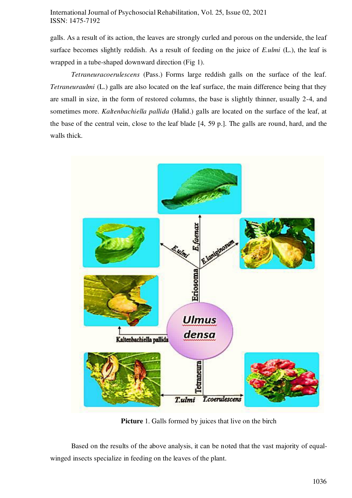galls. As a result of its action, the leaves are strongly curled and porous on the underside, the leaf surface becomes slightly reddish. As a result of feeding on the juice of *E.ulmi* (L.), the leaf is wrapped in a tube-shaped downward direction (Fig 1).

*Tetraneuracoerulescens* (Pass.) Forms large reddish galls on the surface of the leaf. *Tetraneuraulmi* (L.) galls are also located on the leaf surface, the main difference being that they are small in size, in the form of restored columns, the base is slightly thinner, usually 2-4, and sometimes more. *Kaltenbachiella pallida* (Halid.) galls are located on the surface of the leaf, at the base of the central vein, close to the leaf blade [4, 59 p.]. The galls are round, hard, and the walls thick.



**Picture** 1. Galls formed by juices that live on the birch

Based on the results of the above analysis, it can be noted that the vast majority of equalwinged insects specialize in feeding on the leaves of the plant.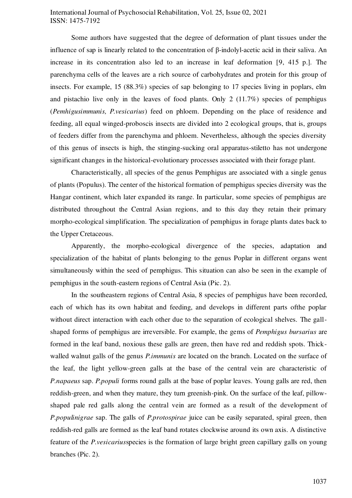Some authors have suggested that the degree of deformation of plant tissues under the influence of sap is linearly related to the concentration of β-indolyl-acetic acid in their saliva. An increase in its concentration also led to an increase in leaf deformation [9, 415 p.]. The parenchyma cells of the leaves are a rich source of carbohydrates and protein for this group of insects. For example, 15 (88.3%) species of sap belonging to 17 species living in poplars, elm and pistachio live only in the leaves of food plants. Only 2 (11.7%) species of pemphigus (*Pemhigusimmunis, P.vesicarius*) feed on phloem. Depending on the place of residence and feeding, all equal winged-proboscis insects are divided into 2 ecological groups, that is, groups of feeders differ from the parenchyma and phloem. Nevertheless, although the species diversity of this genus of insects is high, the stinging-sucking oral apparatus-stiletto has not undergone significant changes in the historical-evolutionary processes associated with their forage plant.

Characteristically, all species of the genus Pemphigus are associated with a single genus of plants (Populus). The center of the historical formation of pemphigus species diversity was the Hangar continent, which later expanded its range. In particular, some species of pemphigus are distributed throughout the Central Asian regions, and to this day they retain their primary morpho-ecological simplification. The specialization of pemphigus in forage plants dates back to the Upper Cretaceous.

Apparently, the morpho-ecological divergence of the species, adaptation and specialization of the habitat of plants belonging to the genus Poplar in different organs went simultaneously within the seed of pemphigus. This situation can also be seen in the example of pemphigus in the south-eastern regions of Central Asia (Pic. 2).

In the southeastern regions of Central Asia, 8 species of pemphigus have been recorded, each of which has its own habitat and feeding, and develops in different parts ofthe poplar without direct interaction with each other due to the separation of ecological shelves. The gallshaped forms of pemphigus are irreversible. For example, the gems of *Pemphigus bursarius* are formed in the leaf band, noxious these galls are green, then have red and reddish spots. Thickwalled walnut galls of the genus *P.immunis* are located on the branch. Located on the surface of the leaf, the light yellow-green galls at the base of the central vein are characteristic of *P.napaeus* sap. *P.populi* forms round galls at the base of poplar leaves. Young galls are red, then reddish-green, and when they mature, they turn greenish-pink. On the surface of the leaf, pillowshaped pale red galls along the central vein are formed as a result of the development of *P.populinigrae* sap. The galls of *P.protospirae* juice can be easily separated, spiral green, then reddish-red galls are formed as the leaf band rotates clockwise around its own axis. A distinctive feature of the *P.vesicarius*species is the formation of large bright green capillary galls on young branches (Pic. 2).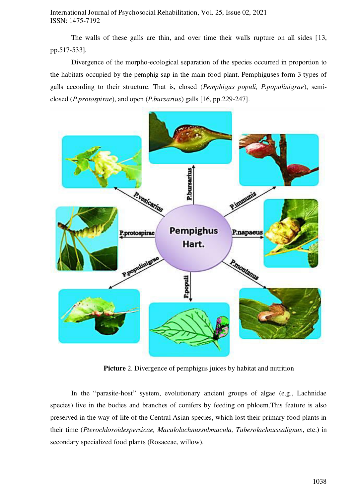The walls of these galls are thin, and over time their walls rupture on all sides [13, pp.517-533].

Divergence of the morpho-ecological separation of the species occurred in proportion to the habitats occupied by the pemphig sap in the main food plant. Pemphiguses form 3 types of galls according to their structure. That is, closed (*Pemphigus populi, P.populinigrae*), semiclosed (*P.protospirae*), and open (*P.bursarius*) galls [16, pp.229-247].



**Picture** 2. Divergence of pemphigus juices by habitat and nutrition

In the "parasite-host" system, evolutionary ancient groups of algae (e.g., Lachnidae species) live in the bodies and branches of conifers by feeding on phloem.This feature is also preserved in the way of life of the Central Asian species, which lost their primary food plants in their time (*Pterochloroidespersicae, Maculolachnussubmacula, Tuberolachnussalignus*, etc.) in secondary specialized food plants (Rosaceae, willow).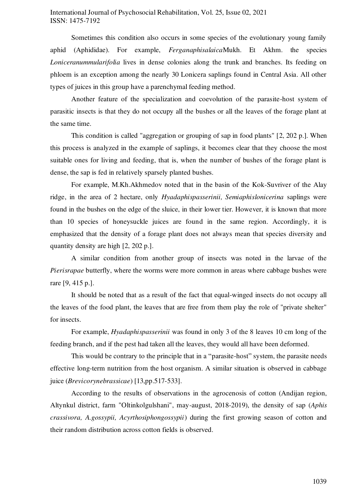Sometimes this condition also occurs in some species of the evolutionary young family aphid (Aphididae). For example, *Ferganaphisalaica*Mukh. Et Akhm. the species *Loniceranummularifolia* lives in dense colonies along the trunk and branches. Its feeding on phloem is an exception among the nearly 30 Lonicera saplings found in Central Asia. All other types of juices in this group have a parenchymal feeding method.

Another feature of the specialization and coevolution of the parasite-host system of parasitic insects is that they do not occupy all the bushes or all the leaves of the forage plant at the same time.

This condition is called "aggregation or grouping of sap in food plants" [2, 202 p.]. When this process is analyzed in the example of saplings, it becomes clear that they choose the most suitable ones for living and feeding, that is, when the number of bushes of the forage plant is dense, the sap is fed in relatively sparsely planted bushes.

For example, M.Kh.Akhmedov noted that in the basin of the Kok-Suvriver of the Alay ridge, in the area of 2 hectare, only *Hyadaphispasserinii, Semiaphislonicerina* saplings were found in the bushes on the edge of the sluice, in their lower tier. However, it is known that more than 10 species of honeysuckle juices are found in the same region. Accordingly, it is emphasized that the density of a forage plant does not always mean that species diversity and quantity density are high [2, 202 p.].

A similar condition from another group of insects was noted in the larvae of the *Pierisrapae* butterfly, where the worms were more common in areas where cabbage bushes were rare [9, 415 p.].

It should be noted that as a result of the fact that equal-winged insects do not occupy all the leaves of the food plant, the leaves that are free from them play the role of "private shelter" for insects.

For example, *Hyadaphispasserinii* was found in only 3 of the 8 leaves 10 cm long of the feeding branch, and if the pest had taken all the leaves, they would all have been deformed.

This would be contrary to the principle that in a "parasite-host" system, the parasite needs effective long-term nutrition from the host organism. A similar situation is observed in cabbage juice (*Brevicorynebrassicae*) [13,pp.517-533].

According to the results of observations in the agrocenosis of cotton (Andijan region, Altynkul district, farm "Oltinkolgulshani", may-august, 2018-2019), the density of sap (*Aphis crassivora, A.gossypii, Acyrthosiphongossypii*) during the first growing season of cotton and their random distribution across cotton fields is observed.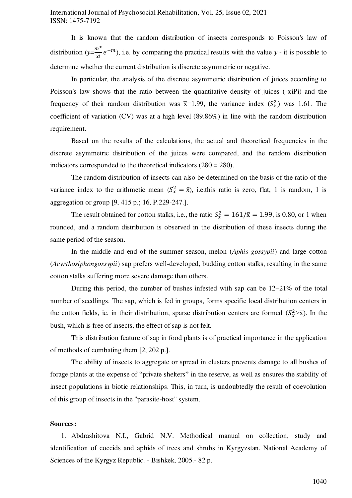It is known that the random distribution of insects corresponds to Poisson's law of distribution  $(y=\frac{m^x}{y}$  $\frac{n}{|x|}e^{-m}$ , i.e. by comparing the practical results with the value *y* - it is possible to determine whether the current distribution is discrete asymmetric or negative.

In particular, the analysis of the discrete asymmetric distribution of juices according to Poisson's law shows that the ratio between the quantitative density of juices (-xiPi) and the frequency of their random distribution was  $\bar{x}=1.99$ , the variance index  $(S_x^2)$  was 1.61. The coefficient of variation (CV) was at a high level (89.86%) in line with the random distribution requirement.

Based on the results of the calculations, the actual and theoretical frequencies in the discrete asymmetric distribution of the juices were compared, and the random distribution indicators corresponded to the theoretical indicators (280 = 280).

The random distribution of insects can also be determined on the basis of the ratio of the variance index to the arithmetic mean  $(S_x^2 = \bar{x})$ , i.e.this ratio is zero, flat, 1 is random, 1 is aggregation or group [9, 415 p.; 16, P.229-247.].

The result obtained for cotton stalks, i.e., the ratio  $S_x^2 = 161/\overline{x} = 1.99$ , is 0.80, or 1 when rounded, and a random distribution is observed in the distribution of these insects during the same period of the season.

In the middle and end of the summer season, melon (*Aphis gossypii*) and large cotton (*Acyrthosiphongossypii*) sap prefers well-developed, budding cotton stalks, resulting in the same cotton stalks suffering more severe damage than others.

During this period, the number of bushes infested with sap can be 12–21% of the total number of seedlings. The sap, which is fed in groups, forms specific local distribution centers in the cotton fields, ie, in their distribution, sparse distribution centers are formed  $(S_x^2 > \overline{x})$ . In the bush, which is free of insects, the effect of sap is not felt.

This distribution feature of sap in food plants is of practical importance in the application of methods of combating them [2, 202 p.].

The ability of insects to aggregate or spread in clusters prevents damage to all bushes of forage plants at the expense of "private shelters" in the reserve, as well as ensures the stability of insect populations in biotic relationships. This, in turn, is undoubtedly the result of coevolution of this group of insects in the "parasite-host" system.

### **Sources:**

1. Abdrashitova N.I., Gabrid N.V. Methodical manual on collection, study and identification of coccids and aphids of trees and shrubs in Kyrgyzstan. National Academy of Sciences of the Kyrgyz Republic. - Bishkek, 2005.- 82 p.